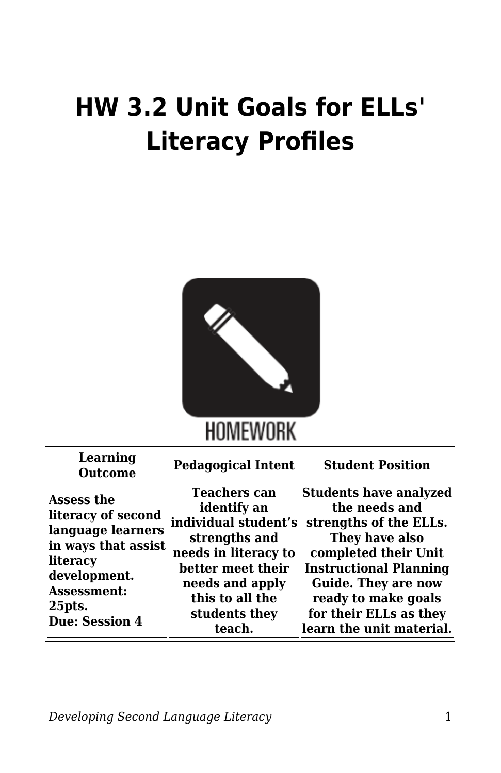## **HW 3.2 Unit Goals for ELLs' Literacy Profiles**



| Learning<br><b>Outcome</b>                                                                                                                                 | <b>Pedagogical Intent</b>                                                                                                                                                                 | <b>Student Position</b>                                                                                                                                                                                                                                        |
|------------------------------------------------------------------------------------------------------------------------------------------------------------|-------------------------------------------------------------------------------------------------------------------------------------------------------------------------------------------|----------------------------------------------------------------------------------------------------------------------------------------------------------------------------------------------------------------------------------------------------------------|
| Assess the<br>literacy of second<br>language learners<br>in ways that assist<br>literacy<br>development.<br>Assessment:<br>25pts.<br><b>Due: Session 4</b> | <b>Teachers can</b><br>identify an<br>individual student's<br>strengths and<br>needs in literacy to<br>better meet their<br>needs and apply<br>this to all the<br>students they<br>teach. | <b>Students have analyzed</b><br>the needs and<br>strengths of the ELLs.<br>They have also<br>completed their Unit<br><b>Instructional Planning</b><br><b>Guide. They are now</b><br>ready to make goals<br>for their ELLs as they<br>learn the unit material. |